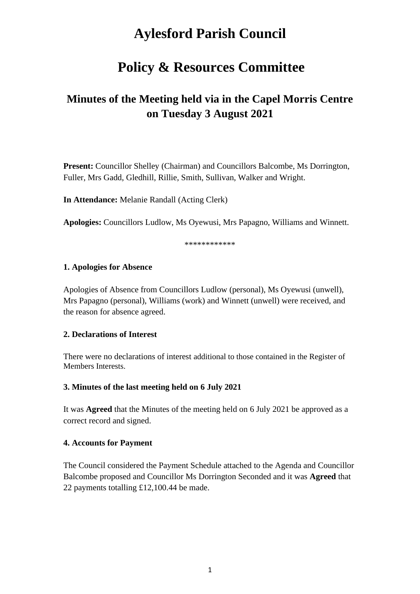# **Aylesford Parish Council**

## **Policy & Resources Committee**

## **Minutes of the Meeting held via in the Capel Morris Centre on Tuesday 3 August 2021**

**Present:** Councillor Shelley (Chairman) and Councillors Balcombe, Ms Dorrington, Fuller, Mrs Gadd, Gledhill, Rillie, Smith, Sullivan, Walker and Wright.

**In Attendance:** Melanie Randall (Acting Clerk)

**Apologies:** Councillors Ludlow, Ms Oyewusi, Mrs Papagno, Williams and Winnett.

\*\*\*\*\*\*\*\*\*\*\*\*

## **1. Apologies for Absence**

Apologies of Absence from Councillors Ludlow (personal), Ms Oyewusi (unwell), Mrs Papagno (personal), Williams (work) and Winnett (unwell) were received, and the reason for absence agreed.

## **2. Declarations of Interest**

There were no declarations of interest additional to those contained in the Register of Members Interests.

#### **3. Minutes of the last meeting held on 6 July 2021**

It was **Agreed** that the Minutes of the meeting held on 6 July 2021 be approved as a correct record and signed.

## **4. Accounts for Payment**

The Council considered the Payment Schedule attached to the Agenda and Councillor Balcombe proposed and Councillor Ms Dorrington Seconded and it was **Agreed** that 22 payments totalling £12,100.44 be made.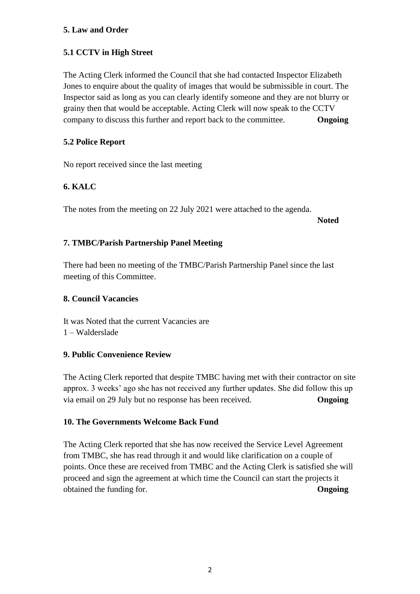## **5. Law and Order**

## **5.1 CCTV in High Street**

The Acting Clerk informed the Council that she had contacted Inspector Elizabeth Jones to enquire about the quality of images that would be submissible in court. The Inspector said as long as you can clearly identify someone and they are not blurry or grainy then that would be acceptable. Acting Clerk will now speak to the CCTV company to discuss this further and report back to the committee. **Ongoing**

## **5.2 Police Report**

No report received since the last meeting

## **6. KALC**

The notes from the meeting on 22 July 2021 were attached to the agenda.

**Noted**

## **7. TMBC/Parish Partnership Panel Meeting**

There had been no meeting of the TMBC/Parish Partnership Panel since the last meeting of this Committee.

## **8. Council Vacancies**

It was Noted that the current Vacancies are

1 – Walderslade

## **9. Public Convenience Review**

The Acting Clerk reported that despite TMBC having met with their contractor on site approx. 3 weeks' ago she has not received any further updates. She did follow this up via email on 29 July but no response has been received. **Ongoing**

## **10. The Governments Welcome Back Fund**

The Acting Clerk reported that she has now received the Service Level Agreement from TMBC, she has read through it and would like clarification on a couple of points. Once these are received from TMBC and the Acting Clerk is satisfied she will proceed and sign the agreement at which time the Council can start the projects it obtained the funding for. **Ongoing**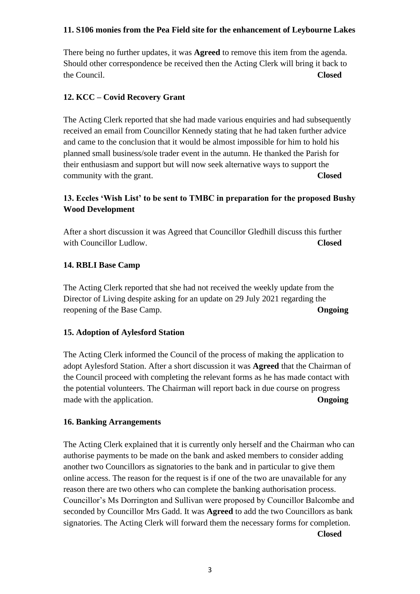## **11. S106 monies from the Pea Field site for the enhancement of Leybourne Lakes**

There being no further updates, it was **Agreed** to remove this item from the agenda. Should other correspondence be received then the Acting Clerk will bring it back to the Council. **Closed**

#### **12. KCC – Covid Recovery Grant**

The Acting Clerk reported that she had made various enquiries and had subsequently received an email from Councillor Kennedy stating that he had taken further advice and came to the conclusion that it would be almost impossible for him to hold his planned small business/sole trader event in the autumn. He thanked the Parish for their enthusiasm and support but will now seek alternative ways to support the community with the grant. **Closed**

## **13. Eccles 'Wish List' to be sent to TMBC in preparation for the proposed Bushy Wood Development**

After a short discussion it was Agreed that Councillor Gledhill discuss this further with Councillor Ludlow. **Closed** 

## **14. RBLI Base Camp**

The Acting Clerk reported that she had not received the weekly update from the Director of Living despite asking for an update on 29 July 2021 regarding the reopening of the Base Camp. **Ongoing**

#### **15. Adoption of Aylesford Station**

The Acting Clerk informed the Council of the process of making the application to adopt Aylesford Station. After a short discussion it was **Agreed** that the Chairman of the Council proceed with completing the relevant forms as he has made contact with the potential volunteers. The Chairman will report back in due course on progress made with the application. **Ongoing** 

#### **16. Banking Arrangements**

The Acting Clerk explained that it is currently only herself and the Chairman who can authorise payments to be made on the bank and asked members to consider adding another two Councillors as signatories to the bank and in particular to give them online access. The reason for the request is if one of the two are unavailable for any reason there are two others who can complete the banking authorisation process. Councillor's Ms Dorrington and Sullivan were proposed by Councillor Balcombe and seconded by Councillor Mrs Gadd. It was **Agreed** to add the two Councillors as bank signatories. The Acting Clerk will forward them the necessary forms for completion. **Closed**